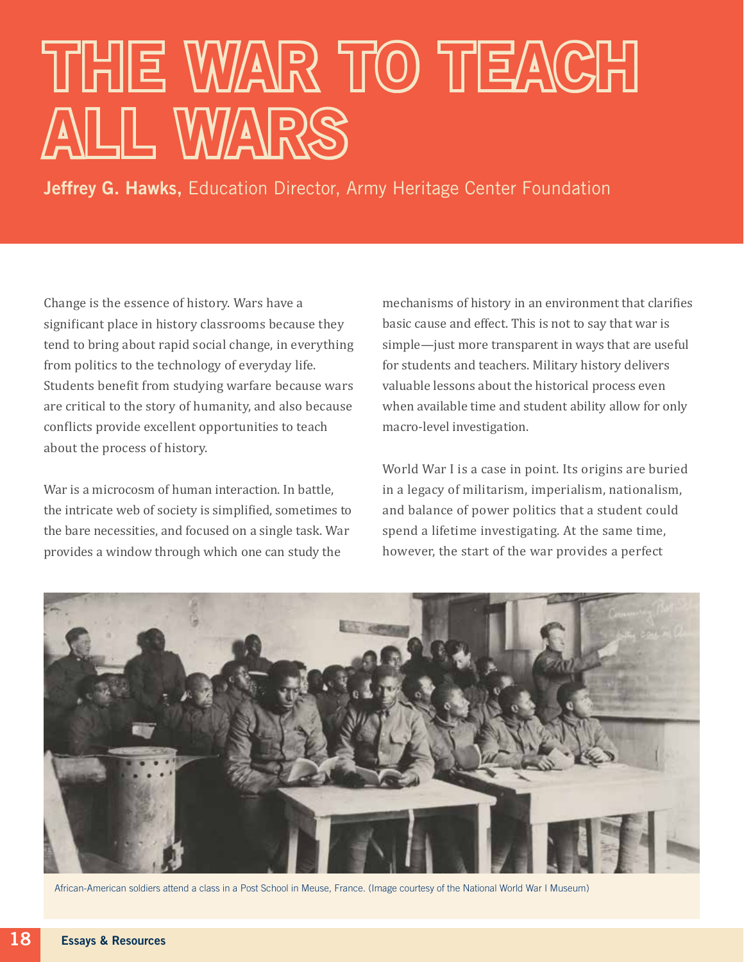## THE WAR TO TEACH ALL WARS

Jeffrey G. Hawks, Education Director, Army Heritage Center Foundation

Change is the essence of history. Wars have a significant place in history classrooms because they tend to bring about rapid social change, in everything from politics to the technology of everyday life. Students benefit from studying warfare because wars are critical to the story of humanity, and also because conflicts provide excellent opportunities to teach about the process of history.

War is a microcosm of human interaction. In battle, the intricate web of society is simplified, sometimes to the bare necessities, and focused on a single task. War provides a window through which one can study the

mechanisms of history in an environment that clarifies basic cause and effect. This is not to say that war is simple—just more transparent in ways that are useful for students and teachers. Military history delivers valuable lessons about the historical process even when available time and student ability allow for only macro-level investigation.

World War I is a case in point. Its origins are buried in a legacy of militarism, imperialism, nationalism, and balance of power politics that a student could spend a lifetime investigating. At the same time, however, the start of the war provides a perfect



African-American soldiers attend a class in a Post School in Meuse, France. (Image courtesy of the National World War I Museum)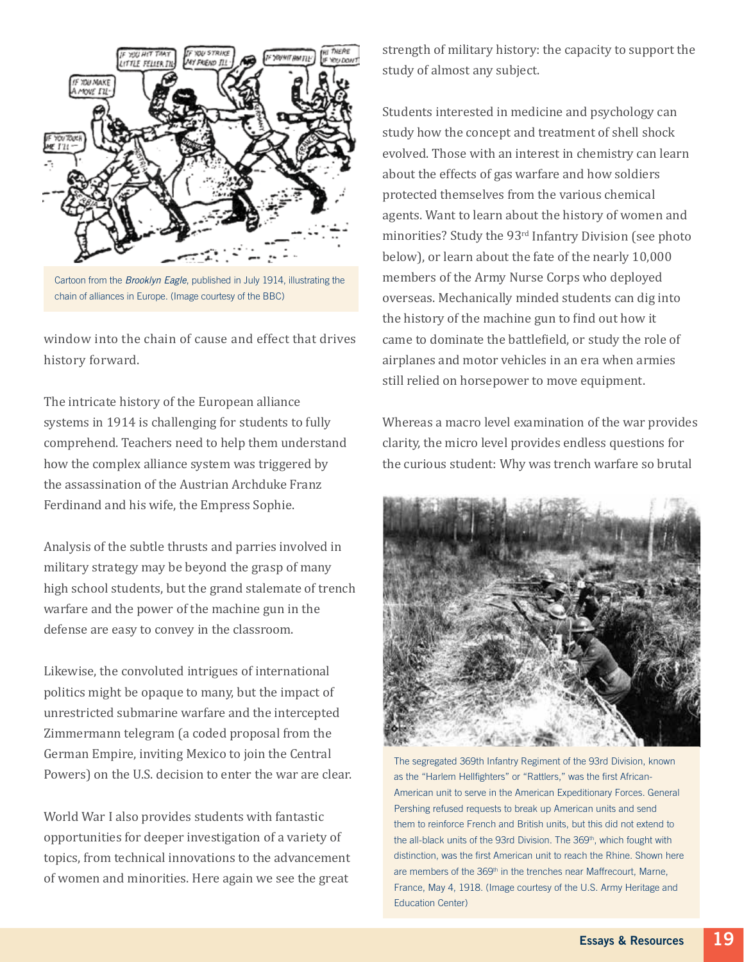

Cartoon from the *Brooklyn Eagle*, published in July 1914, illustrating the chain of alliances in Europe. (Image courtesy of the BBC)

window into the chain of cause and effect that drives history forward.

The intricate history of the European alliance systems in 1914 is challenging for students to fully comprehend. Teachers need to help them understand how the complex alliance system was triggered by the assassination of the Austrian Archduke Franz Ferdinand and his wife, the Empress Sophie.

Analysis of the subtle thrusts and parries involved in military strategy may be beyond the grasp of many high school students, but the grand stalemate of trench warfare and the power of the machine gun in the defense are easy to convey in the classroom.

Likewise, the convoluted intrigues of international politics might be opaque to many, but the impact of unrestricted submarine warfare and the intercepted Zimmermann telegram (a coded proposal from the German Empire, inviting Mexico to join the Central Powers) on the U.S. decision to enter the war are clear.

World War I also provides students with fantastic opportunities for deeper investigation of a variety of topics, from technical innovations to the advancement of women and minorities. Here again we see the great

strength of military history: the capacity to support the study of almost any subject.

Students interested in medicine and psychology can study how the concept and treatment of shell shock evolved. Those with an interest in chemistry can learn about the effects of gas warfare and how soldiers protected themselves from the various chemical agents. Want to learn about the history of women and minorities? Study the 93rd Infantry Division (see photo below), or learn about the fate of the nearly 10,000 members of the Army Nurse Corps who deployed overseas. Mechanically minded students can dig into the history of the machine gun to find out how it came to dominate the battlefield, or study the role of airplanes and motor vehicles in an era when armies still relied on horsepower to move equipment.

Whereas a macro level examination of the war provides clarity, the micro level provides endless questions for the curious student: Why was trench warfare so brutal



The segregated 369th Infantry Regiment of the 93rd Division, known as the "Harlem Hellfighters" or "Rattlers," was the first African-American unit to serve in the American Expeditionary Forces. General Pershing refused requests to break up American units and send them to reinforce French and British units, but this did not extend to the all-black units of the 93rd Division. The 369<sup>th</sup>, which fought with distinction, was the first American unit to reach the Rhine. Shown here are members of the 369<sup>th</sup> in the trenches near Maffrecourt, Marne, France, May 4, 1918. (Image courtesy of the U.S. Army Heritage and Education Center)